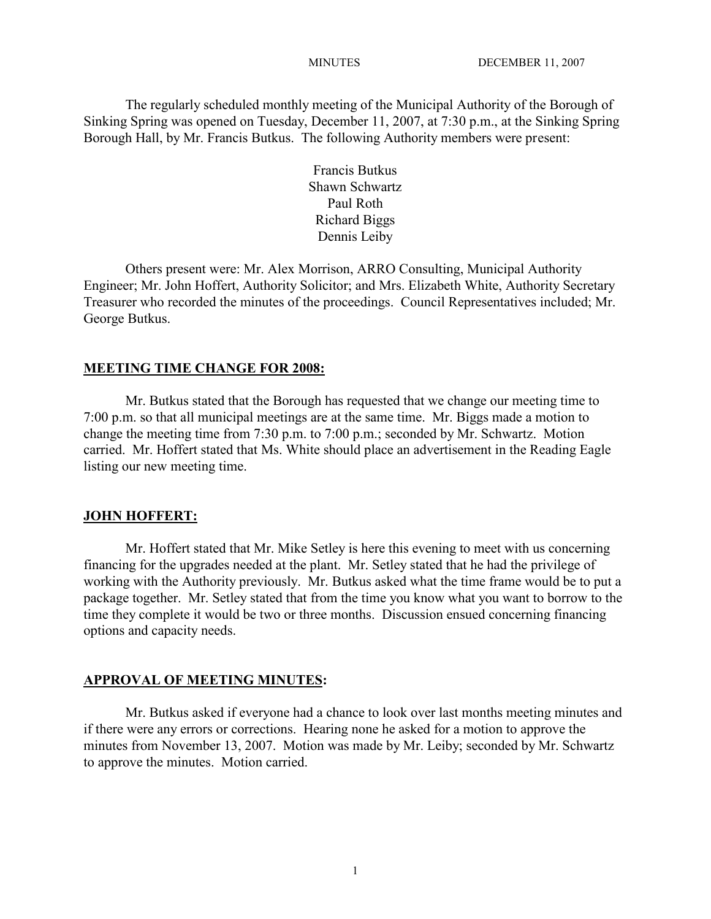The regularly scheduled monthly meeting of the Municipal Authority of the Borough of Sinking Spring was opened on Tuesday, December 11, 2007, at 7:30 p.m., at the Sinking Spring Borough Hall, by Mr. Francis Butkus. The following Authority members were present:

> Francis Butkus Shawn Schwartz Paul Roth Richard Biggs Dennis Leiby

Others present were: Mr. Alex Morrison, ARRO Consulting, Municipal Authority Engineer; Mr. John Hoffert, Authority Solicitor; and Mrs. Elizabeth White, Authority Secretary Treasurer who recorded the minutes of the proceedings. Council Representatives included; Mr. George Butkus.

#### **MEETING TIME CHANGE FOR 2008:**

Mr. Butkus stated that the Borough has requested that we change our meeting time to 7:00 p.m. so that all municipal meetings are at the same time. Mr. Biggs made a motion to change the meeting time from 7:30 p.m. to 7:00 p.m.; seconded by Mr. Schwartz. Motion carried. Mr. Hoffert stated that Ms. White should place an advertisement in the Reading Eagle listing our new meeting time.

#### **JOHN HOFFERT:**

Mr. Hoffert stated that Mr. Mike Setley is here this evening to meet with us concerning financing for the upgrades needed at the plant. Mr. Setley stated that he had the privilege of working with the Authority previously. Mr. Butkus asked what the time frame would be to put a package together. Mr. Setley stated that from the time you know what you want to borrow to the time they complete it would be two or three months. Discussion ensued concerning financing options and capacity needs.

#### **APPROVAL OF MEETING MINUTES:**

Mr. Butkus asked if everyone had a chance to look over last months meeting minutes and if there were any errors or corrections. Hearing none he asked for a motion to approve the minutes from November 13, 2007. Motion was made by Mr. Leiby; seconded by Mr. Schwartz to approve the minutes. Motion carried.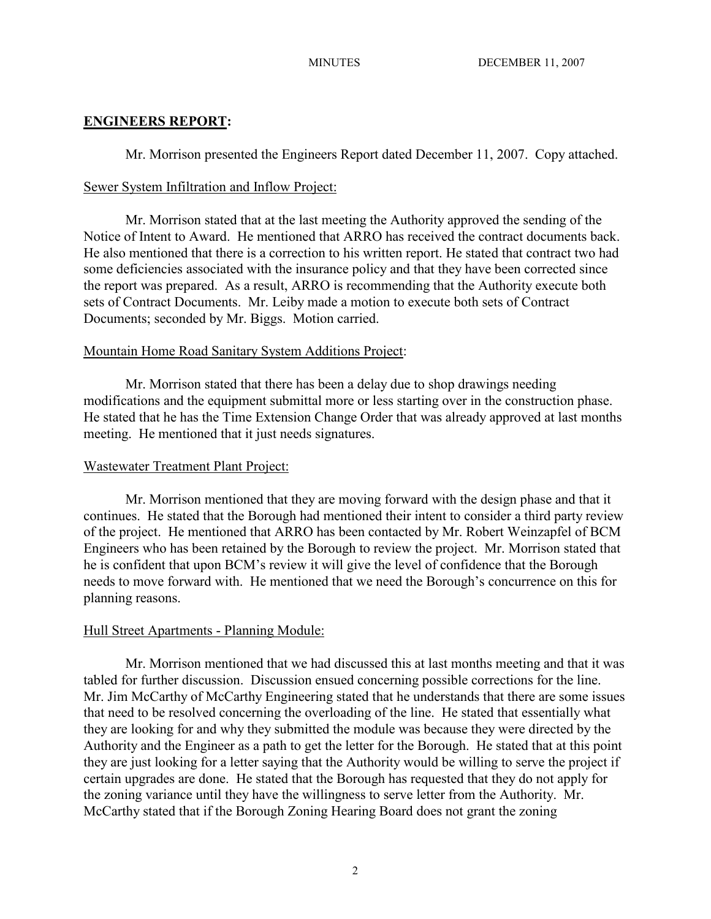## **ENGINEERS REPORT:**

Mr. Morrison presented the Engineers Report dated December 11, 2007. Copy attached.

## Sewer System Infiltration and Inflow Project:

Mr. Morrison stated that at the last meeting the Authority approved the sending of the Notice of Intent to Award. He mentioned that ARRO has received the contract documents back. He also mentioned that there is a correction to his written report. He stated that contract two had some deficiencies associated with the insurance policy and that they have been corrected since the report was prepared. As a result, ARRO is recommending that the Authority execute both sets of Contract Documents. Mr. Leiby made a motion to execute both sets of Contract Documents; seconded by Mr. Biggs. Motion carried.

## Mountain Home Road Sanitary System Additions Project:

Mr. Morrison stated that there has been a delay due to shop drawings needing modifications and the equipment submittal more or less starting over in the construction phase. He stated that he has the Time Extension Change Order that was already approved at last months meeting. He mentioned that it just needs signatures.

## Wastewater Treatment Plant Project:

Mr. Morrison mentioned that they are moving forward with the design phase and that it continues. He stated that the Borough had mentioned their intent to consider a third party review of the project. He mentioned that ARRO has been contacted by Mr. Robert Weinzapfel of BCM Engineers who has been retained by the Borough to review the project. Mr. Morrison stated that he is confident that upon BCM's review it will give the level of confidence that the Borough needs to move forward with. He mentioned that we need the Borough's concurrence on this for planning reasons.

# Hull Street Apartments - Planning Module:

Mr. Morrison mentioned that we had discussed this at last months meeting and that it was tabled for further discussion. Discussion ensued concerning possible corrections for the line. Mr. Jim McCarthy of McCarthy Engineering stated that he understands that there are some issues that need to be resolved concerning the overloading of the line. He stated that essentially what they are looking for and why they submitted the module was because they were directed by the Authority and the Engineer as a path to get the letter for the Borough. He stated that at this point they are just looking for a letter saying that the Authority would be willing to serve the project if certain upgrades are done. He stated that the Borough has requested that they do not apply for the zoning variance until they have the willingness to serve letter from the Authority. Mr. McCarthy stated that if the Borough Zoning Hearing Board does not grant the zoning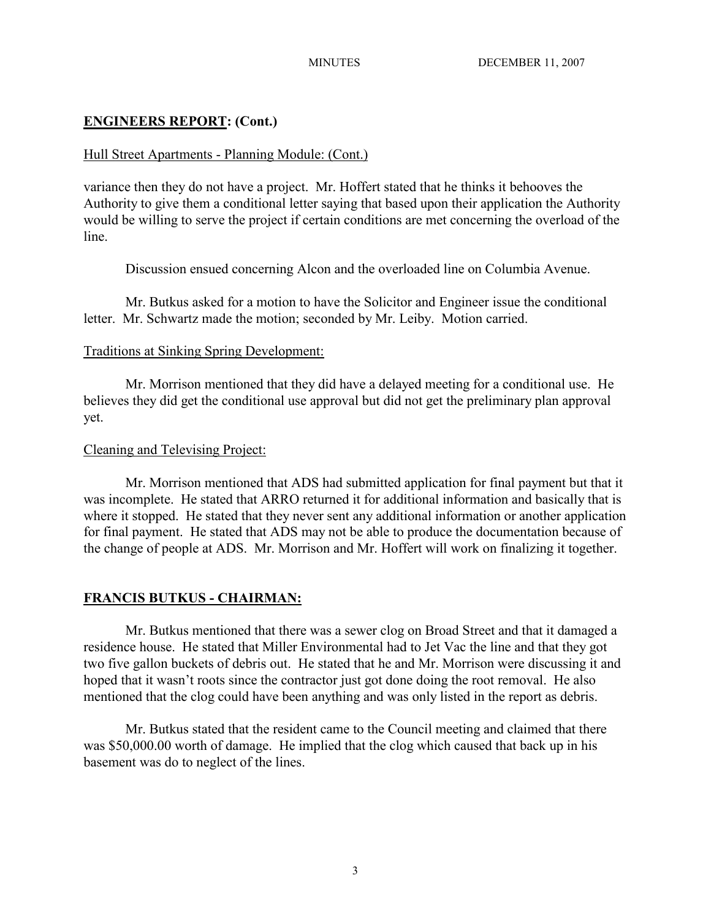## **ENGINEERS REPORT: (Cont.)**

### Hull Street Apartments - Planning Module: (Cont.)

variance then they do not have a project. Mr. Hoffert stated that he thinks it behooves the Authority to give them a conditional letter saying that based upon their application the Authority would be willing to serve the project if certain conditions are met concerning the overload of the line.

Discussion ensued concerning Alcon and the overloaded line on Columbia Avenue.

Mr. Butkus asked for a motion to have the Solicitor and Engineer issue the conditional letter. Mr. Schwartz made the motion; seconded by Mr. Leiby. Motion carried.

### Traditions at Sinking Spring Development:

Mr. Morrison mentioned that they did have a delayed meeting for a conditional use. He believes they did get the conditional use approval but did not get the preliminary plan approval yet.

### Cleaning and Televising Project:

Mr. Morrison mentioned that ADS had submitted application for final payment but that it was incomplete. He stated that ARRO returned it for additional information and basically that is where it stopped. He stated that they never sent any additional information or another application for final payment. He stated that ADS may not be able to produce the documentation because of the change of people at ADS. Mr. Morrison and Mr. Hoffert will work on finalizing it together.

## **FRANCIS BUTKUS - CHAIRMAN:**

Mr. Butkus mentioned that there was a sewer clog on Broad Street and that it damaged a residence house. He stated that Miller Environmental had to Jet Vac the line and that they got two five gallon buckets of debris out. He stated that he and Mr. Morrison were discussing it and hoped that it wasn't roots since the contractor just got done doing the root removal. He also mentioned that the clog could have been anything and was only listed in the report as debris.

Mr. Butkus stated that the resident came to the Council meeting and claimed that there was \$50,000.00 worth of damage. He implied that the clog which caused that back up in his basement was do to neglect of the lines.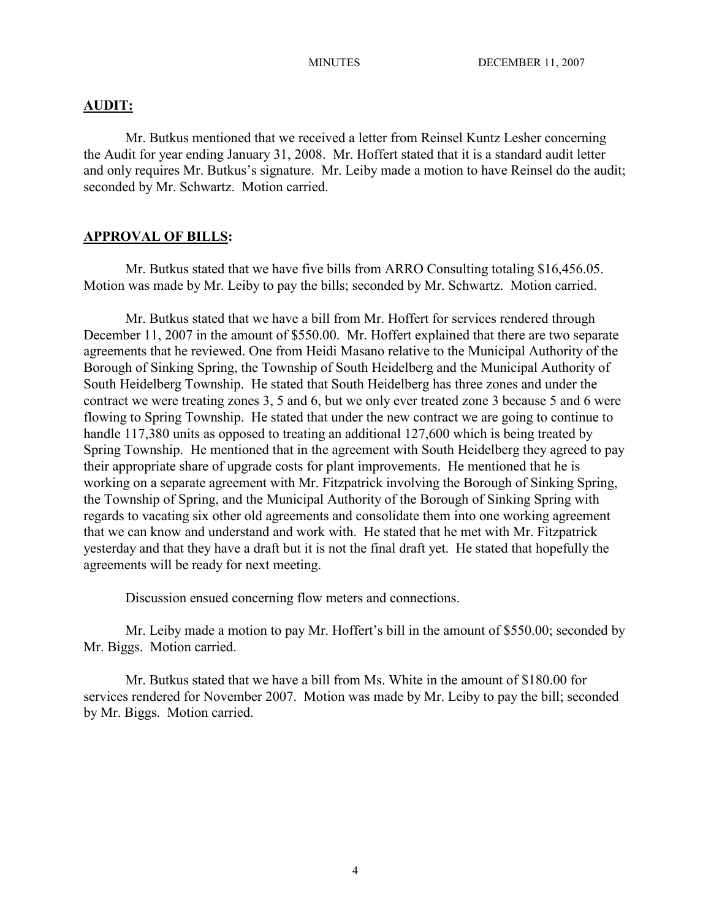#### **AUDIT:**

Mr. Butkus mentioned that we received a letter from Reinsel Kuntz Lesher concerning the Audit for year ending January 31, 2008. Mr. Hoffert stated that it is a standard audit letter and only requires Mr. Butkus's signature. Mr. Leiby made a motion to have Reinsel do the audit; seconded by Mr. Schwartz. Motion carried.

## **APPROVAL OF BILLS:**

Mr. Butkus stated that we have five bills from ARRO Consulting totaling \$16,456.05. Motion was made by Mr. Leiby to pay the bills; seconded by Mr. Schwartz. Motion carried.

Mr. Butkus stated that we have a bill from Mr. Hoffert for services rendered through December 11, 2007 in the amount of \$550.00. Mr. Hoffert explained that there are two separate agreements that he reviewed. One from Heidi Masano relative to the Municipal Authority of the Borough of Sinking Spring, the Township of South Heidelberg and the Municipal Authority of South Heidelberg Township. He stated that South Heidelberg has three zones and under the contract we were treating zones 3, 5 and 6, but we only ever treated zone 3 because 5 and 6 were flowing to Spring Township. He stated that under the new contract we are going to continue to handle 117,380 units as opposed to treating an additional 127,600 which is being treated by Spring Township. He mentioned that in the agreement with South Heidelberg they agreed to pay their appropriate share of upgrade costs for plant improvements. He mentioned that he is working on a separate agreement with Mr. Fitzpatrick involving the Borough of Sinking Spring, the Township of Spring, and the Municipal Authority of the Borough of Sinking Spring with regards to vacating six other old agreements and consolidate them into one working agreement that we can know and understand and work with. He stated that he met with Mr. Fitzpatrick yesterday and that they have a draft but it is not the final draft yet. He stated that hopefully the agreements will be ready for next meeting.

Discussion ensued concerning flow meters and connections.

Mr. Leiby made a motion to pay Mr. Hoffert's bill in the amount of \$550.00; seconded by Mr. Biggs. Motion carried.

Mr. Butkus stated that we have a bill from Ms. White in the amount of \$180.00 for services rendered for November 2007. Motion was made by Mr. Leiby to pay the bill; seconded by Mr. Biggs. Motion carried.